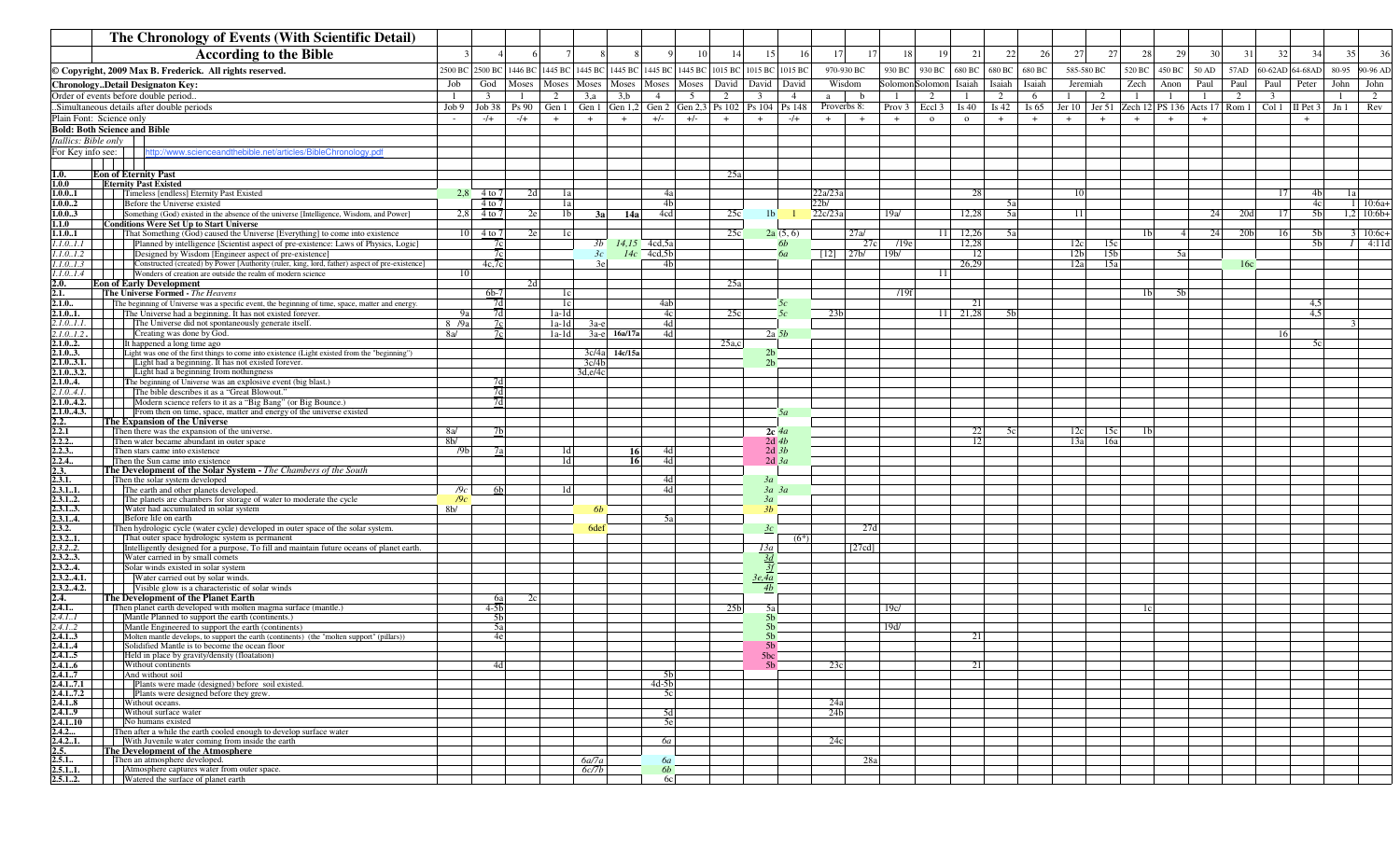|                        | The Chronology of Events (With Scientific Detail)                                                                                                                   |                                   |                      |         |       |                                                                      |               |                 |       |                                 |                                  |                      |                            |                   |                   |                         |                |        |                                                                                 |                 |                 |                |       |                 |                         |                                  |                                |
|------------------------|---------------------------------------------------------------------------------------------------------------------------------------------------------------------|-----------------------------------|----------------------|---------|-------|----------------------------------------------------------------------|---------------|-----------------|-------|---------------------------------|----------------------------------|----------------------|----------------------------|-------------------|-------------------|-------------------------|----------------|--------|---------------------------------------------------------------------------------|-----------------|-----------------|----------------|-------|-----------------|-------------------------|----------------------------------|--------------------------------|
|                        | <b>According to the Bible</b>                                                                                                                                       |                                   |                      |         |       |                                                                      |               |                 | 10    | 14                              | 15                               | <sup>16</sup>        | 17<br>17                   | 18                | 19                | 21                      | 22             | 26     | 27                                                                              | 27              | 28              | 29             | 30    | 31              | 32                      | 34                               | 36<br>35                       |
|                        | © Copyright, 2009 Max B. Frederick. All rights reserved.                                                                                                            |                                   | 2500 BC 2500 BC      | 1446 BC |       | 1445 BC 1445 BC 1445 BC                                              |               |                 |       | 1445 BC 1445 BC 1015 BC 1015 BC |                                  | 1015 BC              | 970-930 BC                 | 930 BC            | 930 BC            | 680 BC                  | 680 BC         | 680 BC | 585-580 BC                                                                      |                 | 520 BC          | 450 BC         | 50 AD | 57AD            |                         | 60-62AD 64-68AD                  | 80-95<br>90-96 AD              |
|                        | ChronologyDetail Designaton Key:                                                                                                                                    | Job                               | God                  | Moses   | Moses | Moses                                                                | Moses         | Moses           | Moses | David                           | David                            | David                | Wisdom                     |                   | Solomon Solomon   | Isaiah                  | Ísaiah         | Isaiah | Jeremiah                                                                        |                 | Zech            | Anon           | Paul  | Paul            | Paul                    | Peter                            | John<br>John                   |
|                        | Order of events before double period.                                                                                                                               | - 1                               | $\overline{3}$       |         | 2     | 3,a                                                                  | 3,b           | 4               | 5     | 2                               | 3                                | $\overline{4}$       | b<br>a                     | - 1               | 2                 | -1                      | 2              | 6      | 1                                                                               | 2               | - 1             | -1             |       | 2               | $\overline{\mathbf{3}}$ |                                  | 2<br>-1                        |
|                        | .Simultaneous details after double periods                                                                                                                          |                                   | $Job 9$ Job 38 Ps 90 |         |       | Gen 1   Gen 1   Gen 1,2   Gen 2   Gen 2,3   Ps 102   Ps 104   Ps 148 |               |                 |       |                                 |                                  |                      | Proverbs 8:                | Prov <sub>3</sub> | Eccl <sub>3</sub> | Is 40                   | Is $42$        |        | Is 65   Jer 10   Jer 51   Zech 12   PS 136   Acts 17   Rom 1   Col 1   II Pet 3 |                 |                 |                |       |                 |                         |                                  | Rev<br>Jn1                     |
|                        | Plain Font: Science only<br><b>Bold: Both Science and Bible</b>                                                                                                     |                                   | $-/+$                | $-/+$   | $+$   | $+$                                                                  | $+$           | $+/-$           | $+/-$ | $+$                             | $+$                              | $-$ /+               | $+$<br>$+$                 | $+$               | $\Omega$          | $\circ$                 | $+$            | $+$    | $+$                                                                             | $+$             | $+$             |                | $+$   |                 |                         |                                  |                                |
| Itallics: Bible only   |                                                                                                                                                                     |                                   |                      |         |       |                                                                      |               |                 |       |                                 |                                  |                      |                            |                   |                   |                         |                |        |                                                                                 |                 |                 |                |       |                 |                         |                                  |                                |
| For Key info see:      | http://www.scienceandthebible.net/articles/BibleChronology.pdf                                                                                                      |                                   |                      |         |       |                                                                      |               |                 |       |                                 |                                  |                      |                            |                   |                   |                         |                |        |                                                                                 |                 |                 |                |       |                 |                         |                                  |                                |
| 1.0.                   | <b>Eon of Eternity Past</b>                                                                                                                                         |                                   |                      |         |       |                                                                      |               |                 |       | 25a                             |                                  |                      |                            |                   |                   |                         |                |        |                                                                                 |                 |                 |                |       |                 |                         |                                  |                                |
| 1.0.0                  | <b>Eternity Past Existed</b>                                                                                                                                        |                                   |                      |         |       |                                                                      |               |                 |       |                                 |                                  |                      |                            |                   |                   |                         |                |        |                                                                                 |                 |                 |                |       |                 |                         |                                  |                                |
| 1.0.01                 | Timeless [endless] Eternity Past Existed<br>Before the Universe existed                                                                                             |                                   | 2.8 4 to 7           |         | 2d    | 1a                                                                   |               | 4a<br>4b        |       |                                 |                                  |                      | 22a/23a<br>22 <sub>b</sub> |                   |                   | 28                      |                |        | 10                                                                              |                 |                 |                |       |                 | 17                      | 4 <sub>b</sub>                   | 1a<br>$10:6a+$                 |
| 1.0.02<br>1.0.03       | Something (God) existed in the absence of the universe [Intelligence, Wisdom, and Power]                                                                            | 2.8                               | $4$ to $7$<br>4 to 7 |         | 2e    | 1a<br>1 <sub>b</sub><br>3a                                           | 14a           | 4cd             |       | 25c                             | 1 <sub>b</sub>                   |                      | 22c/23a                    | 19a/              |                   | 12.28                   | 5al<br>5al     |        | 11                                                                              |                 |                 |                | 24    | 20d             | 17                      | 4c<br>5 <sub>b</sub>             | $1,2$ 10:6b+                   |
| 1.1.0                  | <b>Conditions Were Set Up to Start Universe</b>                                                                                                                     |                                   |                      |         |       |                                                                      |               |                 |       |                                 |                                  |                      |                            |                   |                   |                         |                |        |                                                                                 |                 |                 |                |       |                 |                         |                                  |                                |
| 1.1.01<br>1.0.11       | That Something (God) caused the Universe [Everything] to come into existence<br>Planned by intelligence [Scientist aspect of pre-existence: Laws of Physics, Logic] |                                   | 10 4 to 7<br>7c      |         | 2e    | 1c <sub>1</sub><br>3b                                                |               | $14.15$ 4cd, 5a |       | 25c                             |                                  | 2a(5, 6)<br>6b       | 27a/<br>27c                | /19e              | -11               | 12,26<br>12,28          | 5al            |        | 12c                                                                             | 15c             | 1 <sub>b</sub>  |                | 24    | 20 <sub>b</sub> | 16                      | 5 <sub>b</sub><br>5 <sub>h</sub> | $3 \mid 10:6c+$<br>$1 - 4:11d$ |
| .1.01.2                | Designed by Wisdom [Engineer aspect of pre-existence]                                                                                                               |                                   | 7c                   |         |       | 3c                                                                   |               | $14c$ 4cd,5b    |       |                                 |                                  | 6a                   | $[12]$ $ 27b/$             | 19 <sub>b</sub>   |                   | -12                     |                |        | 12 <sub>b</sub>                                                                 | 15 <sub>b</sub> |                 | 5a             |       |                 |                         |                                  |                                |
| .1.0.1.3               | Constructed (created) by Power [Authority (ruler, king, lord, father) aspect of pre-existence]<br>Wonders of creation are outside the realm of modern science       |                                   | 4c.7c                |         |       | 3e                                                                   |               | 4 <sub>b</sub>  |       |                                 |                                  |                      |                            |                   |                   | 26,29                   |                |        | 12a                                                                             | 15a             |                 |                |       | 16c             |                         |                                  |                                |
| $.1.01.4$    <br>2.0.  | <b>Eon of Early Development</b>                                                                                                                                     | <b>10</b>                         |                      | 24      |       |                                                                      |               |                 |       | 25a                             |                                  |                      |                            |                   | 11                |                         |                |        |                                                                                 |                 |                 |                |       |                 |                         |                                  |                                |
| 2.1.                   | The Universe Formed - The Heavens                                                                                                                                   |                                   | $6b-7$               |         |       | 1c                                                                   |               |                 |       |                                 |                                  |                      |                            | /19f              |                   |                         |                |        |                                                                                 |                 | 1 <sub>b</sub>  | 5 <sub>h</sub> |       |                 |                         |                                  |                                |
| 2.1.0.<br>2.1.01.      | The beginning of Universe was a specific event, the beginning of time, space, matter and energy.<br>The Universe had a beginning. It has not existed forever.       | 9a                                | 7d<br>7d             |         |       | 1c<br>$1a-1d$                                                        |               | 4ab<br>4c       |       | 25c                             |                                  | 5c<br>5c             | 23 <sub>b</sub>            |                   | 11 <sup>1</sup>   | $\overline{2}$<br>21,28 | 5 <sub>h</sub> |        |                                                                                 |                 |                 |                |       |                 |                         | 4,5<br>4.5                       |                                |
| 2.1.01.1.              | The Universe did not spontaneously generate itself.                                                                                                                 | 8 /9a                             | 7c                   |         |       | $1a-1d$<br>$3a-e$                                                    |               | 4d              |       |                                 |                                  |                      |                            |                   |                   |                         |                |        |                                                                                 |                 |                 |                |       |                 |                         |                                  |                                |
| $2.1.0.1.2$ .          | Creating was done by God.                                                                                                                                           | 8a/                               | 7c                   |         |       | $1a-1d$                                                              | 3a-e 16a/17a  | 4d              |       |                                 |                                  | 2a 5b                |                            |                   |                   |                         |                |        |                                                                                 |                 |                 |                |       |                 | 16                      |                                  |                                |
| 2.1.02.<br>2.1.03.     | It happened a long time ago<br>Light was one of the first things to come into existence (Light existed from the "beginning")                                        |                                   |                      |         |       |                                                                      | 3c/4a 14c/15a |                 |       | 25a,c                           | 2 <sub>b</sub>                   |                      |                            |                   |                   |                         |                |        |                                                                                 |                 |                 |                |       |                 |                         | 5c                               |                                |
| 2.1.03.1.              | Light had a beginning. It has not existed forever.                                                                                                                  |                                   |                      |         |       | 3c/4b                                                                |               |                 |       |                                 | 2 <sub>b</sub>                   |                      |                            |                   |                   |                         |                |        |                                                                                 |                 |                 |                |       |                 |                         |                                  |                                |
| 2.1.03.2.<br>2.1.04.   | Light had a beginning from nothingness<br>The beginning of Universe was an explosive event (big blast.)                                                             |                                   | 7d                   |         |       | 3d,e/4c                                                              |               |                 |       |                                 |                                  |                      |                            |                   |                   |                         |                |        |                                                                                 |                 |                 |                |       |                 |                         |                                  |                                |
| .1.04.1.               | The bible describes it as a "Great Blowout."                                                                                                                        |                                   | 7d                   |         |       |                                                                      |               |                 |       |                                 |                                  |                      |                            |                   |                   |                         |                |        |                                                                                 |                 |                 |                |       |                 |                         |                                  |                                |
| 2.1.04.2.<br>2.1.04.3. | Modern science refers to it as a "Big Bang" (or Big Bounce.)<br>From then on time, space, matter and energy of the universe existed                                 |                                   | 7d                   |         |       |                                                                      |               |                 |       |                                 |                                  | 5a                   |                            |                   |                   |                         |                |        |                                                                                 |                 |                 |                |       |                 |                         |                                  |                                |
| 2.2.                   | The Expansion of the Universe                                                                                                                                       |                                   |                      |         |       |                                                                      |               |                 |       |                                 |                                  |                      |                            |                   |                   |                         |                |        |                                                                                 |                 |                 |                |       |                 |                         |                                  |                                |
| 2.2.1<br>2.2.2.        | Then there was the expansion of the universe.                                                                                                                       | 8a/                               | 7b                   |         |       |                                                                      |               |                 |       |                                 |                                  | $2c$ 4a              |                            |                   |                   |                         | 5c             |        | 12c                                                                             | 15c             | 1b              |                |       |                 |                         |                                  |                                |
| 2.2.3.                 | Then water became abundant in outer space<br>Then stars came into existence                                                                                         | 8 <sub>b</sub><br>/9 <sub>b</sub> | 7al                  |         |       | 1 <sub>d</sub>                                                       | <b>16</b>     | 4d              |       |                                 |                                  | $2d$ 4b<br>$2d$ $3b$ |                            |                   |                   |                         |                |        | 13a                                                                             | 16a             |                 |                |       |                 |                         |                                  |                                |
| 2.2.4                  | Then the Sun came into existence                                                                                                                                    |                                   |                      |         |       | 1 <sub>d</sub>                                                       | <b>16</b>     | 4d              |       |                                 |                                  | $2d$ $3a$            |                            |                   |                   |                         |                |        |                                                                                 |                 |                 |                |       |                 |                         |                                  |                                |
| 2.3.<br>2.3.1.         | The Development of the Solar System - The Chambers of the South<br>Then the solar system developed                                                                  |                                   |                      |         |       |                                                                      |               | 4d              |       |                                 | 3a                               |                      |                            |                   |                   |                         |                |        |                                                                                 |                 |                 |                |       |                 |                         |                                  |                                |
| 2.3.11.                | The earth and other planets developed.                                                                                                                              | /9c                               | 6b                   |         |       | 1 <sub>d</sub>                                                       |               | 4d              |       |                                 | $3a$ $3a$                        |                      |                            |                   |                   |                         |                |        |                                                                                 |                 |                 |                |       |                 |                         |                                  |                                |
| 2.3.12.<br>2.3.13.     | The planets are chambers for storage of water to moderate the cycle<br>Water had accumulated in solar system                                                        | /9c<br>8 <sub>b</sub>             |                      |         |       | 6ŀ                                                                   |               |                 |       |                                 | 3a<br>3h                         |                      |                            |                   |                   |                         |                |        |                                                                                 |                 |                 |                |       |                 |                         |                                  |                                |
| 2.3.14.                | Before life on earth                                                                                                                                                |                                   |                      |         |       |                                                                      |               | 5al             |       |                                 |                                  |                      |                            |                   |                   |                         |                |        |                                                                                 |                 |                 |                |       |                 |                         |                                  |                                |
| 2.3.2.<br>2.3.21.      | Then hydrologic cycle (water cycle) developed in outer space of the solar system.<br>That outer space hydrologic system is permanent                                |                                   |                      |         |       | 6 <sub>def</sub>                                                     |               |                 |       |                                 | 3с                               | $(6*)$               | 27d                        |                   |                   |                         |                |        |                                                                                 |                 |                 |                |       |                 |                         |                                  |                                |
| 2.3.22.                | Intelligently designed for a purpose, To fill and maintain future oceans of planet earth.                                                                           |                                   |                      |         |       |                                                                      |               |                 |       |                                 | <u> 13a</u>                      |                      | [27cd]                     |                   |                   |                         |                |        |                                                                                 |                 |                 |                |       |                 |                         |                                  |                                |
| 2.3.23.                | Water carried in by small comets                                                                                                                                    |                                   |                      |         |       |                                                                      |               |                 |       |                                 | 3d                               |                      |                            |                   |                   |                         |                |        |                                                                                 |                 |                 |                |       |                 |                         |                                  |                                |
| 2.3.24.<br>2.3.24.1.   | Solar winds existed in solar system<br>Water carried out by solar winds.                                                                                            |                                   |                      |         |       |                                                                      |               |                 |       |                                 | 3e, 4a                           |                      |                            |                   |                   |                         |                |        |                                                                                 |                 |                 |                |       |                 |                         |                                  |                                |
| 2.3.24.2.              | Visible glow is a characteristic of solar winds                                                                                                                     |                                   |                      |         |       |                                                                      |               |                 |       |                                 | 4b                               |                      |                            |                   |                   |                         |                |        |                                                                                 |                 |                 |                |       |                 |                         |                                  |                                |
| 2.4.<br>2.4.1.         | The Development of the Planet Earth<br>Then planet earth developed with molten magma surface (mantle.)                                                              |                                   | -6al<br>$4-5b$       |         | 2c    |                                                                      |               |                 |       | 25 <sub>b</sub>                 | 5a                               |                      |                            | 19c/              |                   |                         |                |        |                                                                                 |                 | 1c <sub>1</sub> |                |       |                 |                         |                                  |                                |
| 2.4.11                 | Mantle Planned to support the earth (continents.)                                                                                                                   |                                   | 5b                   |         |       |                                                                      |               |                 |       |                                 | 5b                               |                      |                            |                   |                   |                         |                |        |                                                                                 |                 |                 |                |       |                 |                         |                                  |                                |
| 2.4.12<br>2.4.13       | Mantle Engineered to support the earth (continents)<br>Molten mantle develops, to support the earth (continents) (the "molten support" (pillars))                   |                                   | 5a<br>4e             |         |       |                                                                      |               |                 |       |                                 | 5 <sub>b</sub>                   |                      |                            | 19d/              |                   |                         |                |        |                                                                                 |                 |                 |                |       |                 |                         |                                  |                                |
|                        | <b>2.4.1.4</b> Solidified Mantle is to become the ocean floor                                                                                                       |                                   |                      |         |       |                                                                      |               |                 |       |                                 | 5 <sub>b</sub><br>5 <sub>h</sub> |                      |                            |                   |                   |                         |                |        |                                                                                 |                 |                 |                |       |                 |                         |                                  |                                |
| 2.4.15                 | Held in place by gravity/density (floatation)                                                                                                                       |                                   |                      |         |       |                                                                      |               |                 |       |                                 | 5bc                              |                      |                            |                   |                   |                         |                |        |                                                                                 |                 |                 |                |       |                 |                         |                                  |                                |
|                        | 2.4.16 Without continents<br><b>2.4.1.7</b> And without soil                                                                                                        |                                   | 4d                   |         |       |                                                                      |               | 5 <sub>b</sub>  |       |                                 | 5 <sub>b</sub>                   |                      | 23c                        |                   |                   | 21                      |                |        |                                                                                 |                 |                 |                |       |                 |                         |                                  |                                |
|                        | <b>2.4.1.7.1</b> Plants were made (designed) before soil existed.                                                                                                   |                                   |                      |         |       |                                                                      |               | $4d-5b$         |       |                                 |                                  |                      |                            |                   |                   |                         |                |        |                                                                                 |                 |                 |                |       |                 |                         |                                  |                                |
|                        | <b>2.4.1.7.2</b> Plants were designed before they grew.<br>2.4.1.8 Without oceans.                                                                                  |                                   |                      |         |       |                                                                      |               | 5c              |       |                                 |                                  |                      | 24a                        |                   |                   |                         |                |        |                                                                                 |                 |                 |                |       |                 |                         |                                  |                                |
|                        | 2.4.1.9       Without surface water                                                                                                                                 |                                   |                      |         |       |                                                                      |               | 5d              |       |                                 |                                  |                      | 24 <sub>b</sub>            |                   |                   |                         |                |        |                                                                                 |                 |                 |                |       |                 |                         |                                  |                                |
|                        | $2.4.110$ No humans existed<br>2.4.2 Then after a while the earth cooled enough to develop surface water                                                            |                                   |                      |         |       |                                                                      |               | 5e              |       |                                 |                                  |                      |                            |                   |                   |                         |                |        |                                                                                 |                 |                 |                |       |                 |                         |                                  |                                |
|                        | <b>2.4.2.1.</b> With Juvenile water coming from inside the earth                                                                                                    |                                   |                      |         |       |                                                                      |               | 6а              |       |                                 |                                  |                      | 24c                        |                   |                   |                         |                |        |                                                                                 |                 |                 |                |       |                 |                         |                                  |                                |
| 2.5.<br>2.5.1.         | The Development of the Atmosphere<br>Then an atmosphere developed.                                                                                                  |                                   |                      |         |       | 6a/7a                                                                |               | 6а              |       |                                 |                                  |                      | 28a                        |                   |                   |                         |                |        |                                                                                 |                 |                 |                |       |                 |                         |                                  |                                |
|                        | 2.5.1.1. Atmosphere captures water from outer space.                                                                                                                |                                   |                      |         |       | 6c/7b                                                                |               | 6b              |       |                                 |                                  |                      |                            |                   |                   |                         |                |        |                                                                                 |                 |                 |                |       |                 |                         |                                  |                                |
|                        | 2.5.12. Watered the surface of planet earth                                                                                                                         |                                   |                      |         |       |                                                                      |               | 6c              |       |                                 |                                  |                      |                            |                   |                   |                         |                |        |                                                                                 |                 |                 |                |       |                 |                         |                                  |                                |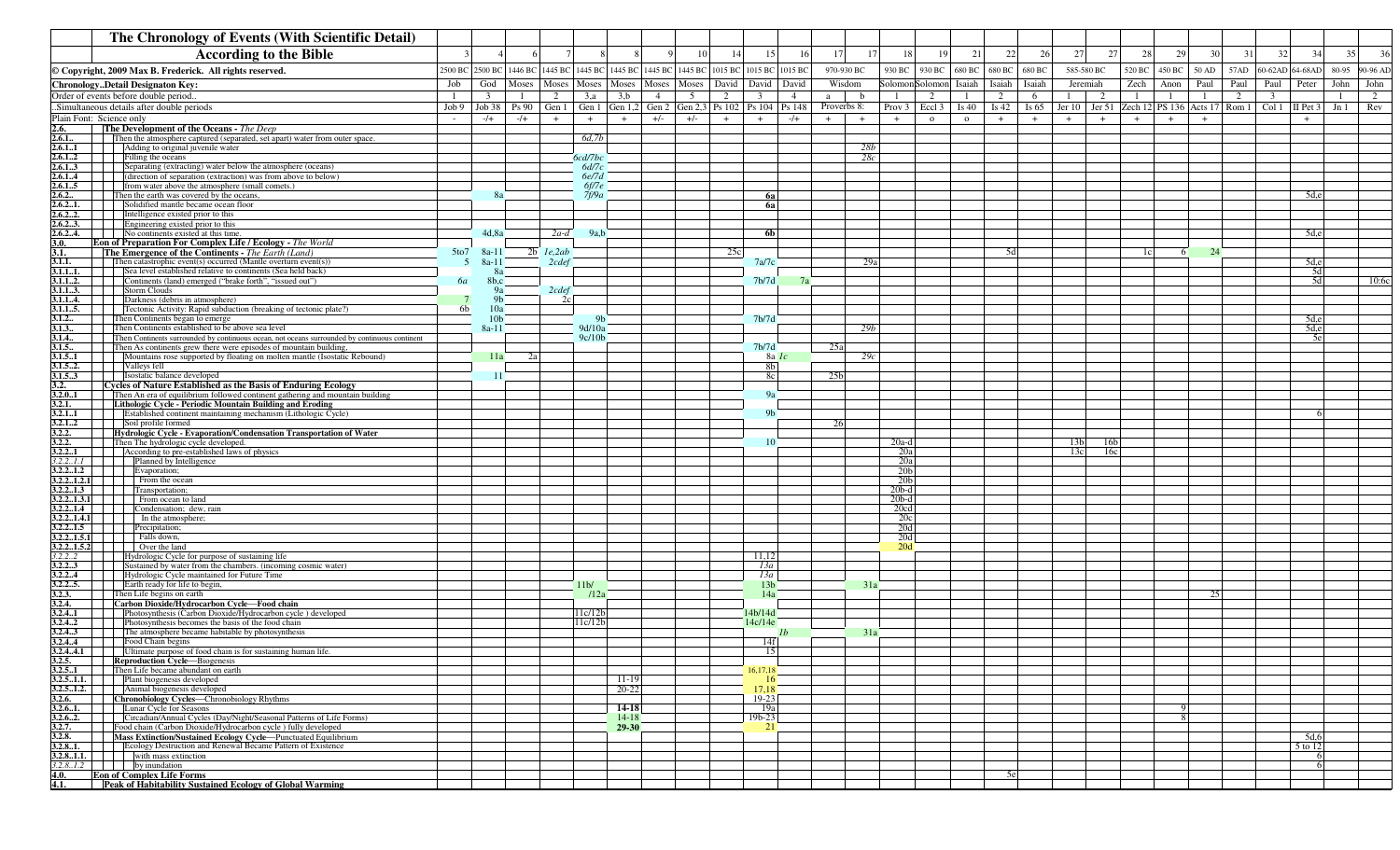| The Chronology of Events (With Scientific Detail)                                                                                                                                    |         |                       |                |                 |                 |                  |                |       |                                           |                        |                |                              |                          |        |                                                          |                |                |                 |                 |        |                              |                   |      |      |                                           |       |          |
|--------------------------------------------------------------------------------------------------------------------------------------------------------------------------------------|---------|-----------------------|----------------|-----------------|-----------------|------------------|----------------|-------|-------------------------------------------|------------------------|----------------|------------------------------|--------------------------|--------|----------------------------------------------------------|----------------|----------------|-----------------|-----------------|--------|------------------------------|-------------------|------|------|-------------------------------------------|-------|----------|
| <b>According to the Bible</b>                                                                                                                                                        |         |                       |                |                 |                 |                  |                | 10    | 14                                        | 15                     | <sup>16</sup>  | 17                           | 18<br>17                 |        | 19                                                       | 21             | 22             | 27<br>26        | 27              | 28     | 29                           | 30                | 31   | 32   | 34                                        | 35    | 36       |
| © Copyright, 2009 Max B. Frederick. All rights reserved.                                                                                                                             | 2500 BC | 2500 BC               |                | 1446 BC 1445 BC | 1445 BC         | 1445 BC          |                |       | 1445 BC 1445 BC 1015 BC 1015 BC           |                        | 1015 BC        | 970-930 BC                   | 930 BC                   | 930 BC | 680 BC                                                   | 680 BC         | 680 BC         |                 | 585-580 BC      | 520 BC | 450 BC                       | 50 AD             | 57AD |      | 60-62AD 64-68AD                           | 80-95 | 90-96 AD |
| ChronologyDetail Designaton Key:                                                                                                                                                     | Job     | God                   | Moses          | Moses           | Moses           | Moses            | Moses          | Moses | David                                     | David                  | David          | Wisdom                       | Solomon Solomon          |        | Isaiah                                                   | Isaiah         | Isaiah         |                 | Jeremiah        | Zech   | Anon                         | Paul              | Paul | Paul | Peter                                     | John  | John     |
| Order of events before double period.                                                                                                                                                |         | -3                    |                | 2               | 3,a             | 3,b              | $\overline{4}$ | - 5   | 2                                         | 3                      | $\overline{4}$ | b<br>a                       | - 1                      |        | 2<br>-1                                                  | 2              | 6              |                 | -2              | - 1    |                              |                   | 2    | 3    |                                           |       | 2        |
| Simultaneous details after double periods<br>Plain Font: Science only                                                                                                                | Job 9   | Job 38<br>$-/+$       | Ps 90<br>$-/+$ | Gen 1<br>$+$    | Gen 1<br>$+$    | Gen $1,2$<br>$+$ | $+/-$          | $+/-$ | Gen 2 Gen 2,3 Ps 102 Ps 104 Ps 148<br>$+$ | $+$                    | $-/+$          | Proverbs 8:<br>$^{+}$<br>$+$ | Prov <sub>3</sub><br>$+$ |        | Eccl <sub>3</sub><br>Is $40$<br>$\mathbf{o}$<br>$\Omega$ | Is $42$<br>$+$ | Is $65$<br>$+$ | $+$             |                 | $+$    | Jer 10 Jer 51 Zech 12 PS 136 | Acts 17<br>$^{+}$ |      |      | Rom $1 \mid$ Col $1 \mid$ II Pet 3<br>$+$ | Jn1   | Rev      |
| 2.6.<br>The Development of the Oceans - The Deep                                                                                                                                     |         |                       |                |                 |                 |                  |                |       |                                           |                        |                |                              |                          |        |                                                          |                |                |                 |                 |        |                              |                   |      |      |                                           |       |          |
| 2.6.1.<br>Then the atmosphere captured (separated, set apart) water from outer space.                                                                                                |         |                       |                |                 | 6d,7b           |                  |                |       |                                           |                        |                |                              |                          |        |                                                          |                |                |                 |                 |        |                              |                   |      |      |                                           |       |          |
| 2.6.11<br>Adding to original juvenile water<br>2.6.12<br>Filling the oceans                                                                                                          |         |                       |                |                 | 6cd/7bc         |                  |                |       |                                           |                        |                | 28b<br>28c                   |                          |        |                                                          |                |                |                 |                 |        |                              |                   |      |      |                                           |       |          |
| Separating (extracting) water below the atmosphere (oceans)<br>2.6.13                                                                                                                |         |                       |                |                 | 6d/7c           |                  |                |       |                                           |                        |                |                              |                          |        |                                                          |                |                |                 |                 |        |                              |                   |      |      |                                           |       |          |
| (direction of separation (extraction) was from above to below)<br>2.6.14<br>2.6.15<br>from water above the atmosphere (small comets.)                                                |         |                       |                |                 | 6e/7d<br>6f/7e  |                  |                |       |                                           |                        |                |                              |                          |        |                                                          |                |                |                 |                 |        |                              |                   |      |      |                                           |       |          |
| 2.6.2<br>Then the earth was covered by the oceans,                                                                                                                                   |         | 8a                    |                |                 | 7f/9a           |                  |                |       |                                           | 6a                     |                |                              |                          |        |                                                          |                |                |                 |                 |        |                              |                   |      |      | 5d,e                                      |       |          |
| 2.6.21.<br>Solidified mantle became ocean floor<br>2.6.22.<br>Intelligence existed prior to this                                                                                     |         |                       |                |                 |                 |                  |                |       |                                           | 6а                     |                |                              |                          |        |                                                          |                |                |                 |                 |        |                              |                   |      |      |                                           |       |          |
| 2.6.23.<br>Engineering existed prior to this                                                                                                                                         |         |                       |                |                 |                 |                  |                |       |                                           |                        |                |                              |                          |        |                                                          |                |                |                 |                 |        |                              |                   |      |      |                                           |       |          |
| 2.6.24.<br>No continents existed at this time.                                                                                                                                       |         | 4d.8a                 |                | $2a-d$          | 9a.b            |                  |                |       |                                           | <b>6b</b>              |                |                              |                          |        |                                                          |                |                |                 |                 |        |                              |                   |      |      | 5d,e                                      |       |          |
| 3.0.<br>Eon of Preparation For Complex Life / Ecology - The World<br>3.1.<br><b>The Emergence of the Continents</b> - The Earth (Land)                                               | 5to7    | $8a-11$               |                | $2b$ $1e,2ab$   |                 |                  |                |       | 25c                                       |                        |                |                              |                          |        |                                                          |                | 5d             |                 |                 |        | 1c<br>-6                     | 24                |      |      |                                           |       |          |
| Then catastrophic event(s) occurred (Mantle overturn event(s))<br>3.1.1.                                                                                                             | -5      | $8a-11$               |                | 2cdef           |                 |                  |                |       |                                           | 7a/7c                  |                |                              | 29a                      |        |                                                          |                |                |                 |                 |        |                              |                   |      |      | 5d,e                                      |       |          |
| Sea level established relative to continents (Sea held back)<br>3.1.11.<br>3.1.12.<br>Continents (land) emerged ("brake forth", "issued out")                                        | 6а      | 8a<br>8b,c            |                |                 |                 |                  |                |       |                                           | 7b/7d                  |                |                              |                          |        |                                                          |                |                |                 |                 |        |                              |                   |      |      | 5d<br>5d                                  |       | 10:6c    |
| <b>Storm Clouds</b><br>3.1.13.                                                                                                                                                       |         | <sub>9a</sub>         |                | 2cdef           |                 |                  |                |       |                                           |                        |                |                              |                          |        |                                                          |                |                |                 |                 |        |                              |                   |      |      |                                           |       |          |
| Darkness (debris in atmosphere)<br>3.1.14.<br>Tectonic Activity: Rapid subduction (breaking of tectonic plate?)<br>3.1.15.                                                           | 6b      | 9 <sub>b</sub><br>10a |                | 2c              |                 |                  |                |       |                                           |                        |                |                              |                          |        |                                                          |                |                |                 |                 |        |                              |                   |      |      |                                           |       |          |
| 3.1.2<br>Then Continents began to emerge                                                                                                                                             |         | 10 <sub>b</sub>       |                |                 |                 |                  |                |       |                                           | 7 <sub>b</sub> /7d     |                |                              |                          |        |                                                          |                |                |                 |                 |        |                              |                   |      |      | 5d,e                                      |       |          |
| 3.1.3.<br>Then Continents established to be above sea level                                                                                                                          |         | $8a-11$               |                |                 | 9d/10a          |                  |                |       |                                           |                        |                | 29b                          |                          |        |                                                          |                |                |                 |                 |        |                              |                   |      |      | 5d,e<br>5e                                |       |          |
| 3.1.4<br>Then Continents surrounded by continuous ocean, not oceans surrounded by continuous continent<br>3.1.5<br>Then As continents grew there were episodes of mountain building, |         |                       |                |                 | 9c/10b          |                  |                |       |                                           | 7 <sub>b</sub> /7d     |                | 25a                          |                          |        |                                                          |                |                |                 |                 |        |                              |                   |      |      |                                           |       |          |
| 3.1.5.1<br>Mountains rose supported by floating on molten mantle (Isostatic Rebound)                                                                                                 |         | 11a                   | 2a             |                 |                 |                  |                |       |                                           | $8a$ $1c$              |                | 29c                          |                          |        |                                                          |                |                |                 |                 |        |                              |                   |      |      |                                           |       |          |
| 3.1.52.<br>Valleys fell<br>Isostatic balance developed<br>3.1.53                                                                                                                     |         | 11                    |                |                 |                 |                  |                |       |                                           | 8 <sub>b</sub><br>8c   |                | 25 <sub>b</sub>              |                          |        |                                                          |                |                |                 |                 |        |                              |                   |      |      |                                           |       |          |
| 3.2.<br><b>Cycles of Nature Established as the Basis of Enduring Ecology</b>                                                                                                         |         |                       |                |                 |                 |                  |                |       |                                           |                        |                |                              |                          |        |                                                          |                |                |                 |                 |        |                              |                   |      |      |                                           |       |          |
| 3.2.0.1<br>Then An era of equilibrium followed continent gathering and mountain building<br>3.2.1.<br>Lithologic Cycle - Periodic Mountain Building and Eroding                      |         |                       |                |                 |                 |                  |                |       |                                           | 9a                     |                |                              |                          |        |                                                          |                |                |                 |                 |        |                              |                   |      |      |                                           |       |          |
| Established continent maintaining mechanism (Lithologic Cycle)<br>3.2.1.1                                                                                                            |         |                       |                |                 |                 |                  |                |       |                                           | 9 <sub>h</sub>         |                |                              |                          |        |                                                          |                |                |                 |                 |        |                              |                   |      |      |                                           |       |          |
| 3.2.12<br>Soil profile formed<br>3.2.2.<br>Hydrologic Cycle - Evaporation/Condensation Transportation of Water                                                                       |         |                       |                |                 |                 |                  |                |       |                                           |                        |                | 26                           |                          |        |                                                          |                |                |                 |                 |        |                              |                   |      |      |                                           |       |          |
| 3.2.2.<br>Then The hydrologic cycle developed.                                                                                                                                       |         |                       |                |                 |                 |                  |                |       |                                           | 10                     |                |                              | $20a-d$                  |        |                                                          |                |                | 13 <sub>b</sub> | 16 <sub>b</sub> |        |                              |                   |      |      |                                           |       |          |
| According to pre-established laws of physics<br>3.2.2.1<br>Planned by Intelligence<br>3.2.21.1                                                                                       |         |                       |                |                 |                 |                  |                |       |                                           |                        |                |                              | 20a<br>20a               |        |                                                          |                |                | 13c             | 16c             |        |                              |                   |      |      |                                           |       |          |
| 3.2.21.2<br>Evaporation:                                                                                                                                                             |         |                       |                |                 |                 |                  |                |       |                                           |                        |                |                              | 20 <sub>b</sub>          |        |                                                          |                |                |                 |                 |        |                              |                   |      |      |                                           |       |          |
| 3.2.2.,1.2.1<br>From the ocean<br>3.2.21.3<br>Transportation;                                                                                                                        |         |                       |                |                 |                 |                  |                |       |                                           |                        |                |                              | 20 <sub>b</sub>          |        |                                                          |                |                |                 |                 |        |                              |                   |      |      |                                           |       |          |
| From ocean to land<br>3.2.21.3.1                                                                                                                                                     |         |                       |                |                 |                 |                  |                |       |                                           |                        |                |                              | $20b-d$<br>$20b-d$       |        |                                                          |                |                |                 |                 |        |                              |                   |      |      |                                           |       |          |
| 3.2.21.4<br>Condensation; dew, rain                                                                                                                                                  |         |                       |                |                 |                 |                  |                |       |                                           |                        |                |                              | 20cd                     |        |                                                          |                |                |                 |                 |        |                              |                   |      |      |                                           |       |          |
| 3.2.21.4.1<br>In the atmosphere;<br>3.2.21.5<br>Precipitation;                                                                                                                       |         |                       |                |                 |                 |                  |                |       |                                           |                        |                |                              | 20c<br>20d               |        |                                                          |                |                |                 |                 |        |                              |                   |      |      |                                           |       |          |
| Falls down,<br>3.2.21.5.1                                                                                                                                                            |         |                       |                |                 |                 |                  |                |       |                                           |                        |                |                              | 20d                      |        |                                                          |                |                |                 |                 |        |                              |                   |      |      |                                           |       |          |
| 3.2.2., 1.5.2<br>Over the land<br>3.2.22<br>Hydrologic Cycle for purpose of sustaining life                                                                                          |         |                       |                |                 |                 |                  |                |       |                                           | 11,12                  |                |                              | 20d                      |        |                                                          |                |                |                 |                 |        |                              |                   |      |      |                                           |       |          |
| 3.2.23<br>Sustained by water from the chambers. (incoming cosmic water)                                                                                                              |         |                       |                |                 |                 |                  |                |       |                                           | 13a                    |                |                              |                          |        |                                                          |                |                |                 |                 |        |                              |                   |      |      |                                           |       |          |
| Hydrologic Cycle maintained for Future Time<br>3.2.24<br>3.2.25.<br>Earth ready for life to begin,                                                                                   |         |                       |                |                 | 11 <sub>b</sub> |                  |                |       |                                           | 13a<br>13 <sub>b</sub> |                |                              | 31a                      |        |                                                          |                |                |                 |                 |        |                              |                   |      |      |                                           |       |          |
| 3.2.3.<br>Then Life begins on earth                                                                                                                                                  |         |                       |                |                 | 12a             |                  |                |       |                                           | 14a                    |                |                              |                          |        |                                                          |                |                |                 |                 |        |                              | 25                |      |      |                                           |       |          |
| 3.2.4.<br>Carbon Dioxide/Hydrocarbon Cycle-Food chain<br>Photosynthesis (Carbon Dioxide/Hydrocarbon cycle) developed<br>3.2.4.1                                                      |         |                       |                |                 | l 1c/12b        |                  |                |       |                                           | 14b/14c                |                |                              |                          |        |                                                          |                |                |                 |                 |        |                              |                   |      |      |                                           |       |          |
| 3.2.42<br>Photosynthesis becomes the basis of the food chain                                                                                                                         |         |                       |                |                 | l 1c/12b        |                  |                |       |                                           | 14c/14e                |                |                              |                          |        |                                                          |                |                |                 |                 |        |                              |                   |      |      |                                           |       |          |
| 3.2.43<br>The atmosphere became habitable by photosynthesis<br>Food Chain begins                                                                                                     |         |                       |                |                 |                 |                  |                |       |                                           |                        |                |                              | 31a                      |        |                                                          |                |                |                 |                 |        |                              |                   |      |      |                                           |       |          |
| 3.2.44<br>3.2.44.1<br>  Ultimate purpose of food chain is for sustaining human life.                                                                                                 |         |                       |                |                 |                 |                  |                |       |                                           | 14f                    |                |                              |                          |        |                                                          |                |                |                 |                 |        |                              |                   |      |      |                                           |       |          |
| 3.2.5.<br><b>Reproduction Cycle—Biogenesis</b>                                                                                                                                       |         |                       |                |                 |                 |                  |                |       |                                           |                        |                |                              |                          |        |                                                          |                |                |                 |                 |        |                              |                   |      |      |                                           |       |          |
| 3.2.5.1 Then Life became abundant on earth<br>$3.2.51.1$ . Plant biogenesis developed                                                                                                |         |                       |                |                 |                 | 11-19            |                |       |                                           | 16,17,18<br>16         |                |                              |                          |        |                                                          |                |                |                 |                 |        |                              |                   |      |      |                                           |       |          |
| 3.2.5.1.2. Animal biogenesis developed                                                                                                                                               |         |                       |                |                 |                 | 20-22            |                |       |                                           | 17,18                  |                |                              |                          |        |                                                          |                |                |                 |                 |        |                              |                   |      |      |                                           |       |          |
| <b>Chronobiology Cycles—Chronobiology Rhythms</b><br>3.2.6.<br><b>3.2.6.1.</b>     Lunar Cycle for Seasons                                                                           |         |                       |                |                 |                 | 14-18            |                |       |                                           | 19-23<br>19a           |                |                              |                          |        |                                                          |                |                |                 |                 |        |                              |                   |      |      |                                           |       |          |
| <b>3.2.6.2.</b> Circadian/Annual Cycles (Day/Night/Seasonal Patterns of Life Forms)                                                                                                  |         |                       |                |                 |                 | $14 - 18$        |                |       |                                           | 19b-23                 |                |                              |                          |        |                                                          |                |                |                 |                 |        |                              |                   |      |      |                                           |       |          |
| 3.2.7.<br>Food chain (Carbon Dioxide/Hydrocarbon cycle) fully developed<br>Mass Extinction/Sustained Ecology Cycle-Punctuated Equilibrium<br>3.2.8.                                  |         |                       |                |                 |                 | 29-30            |                |       |                                           | 21                     |                |                              |                          |        |                                                          |                |                |                 |                 |        |                              |                   |      |      | 5d,6                                      |       |          |
| 3.2.81.<br>    Ecology Destruction and Renewal Became Pattern of Existence                                                                                                           |         |                       |                |                 |                 |                  |                |       |                                           |                        |                |                              |                          |        |                                                          |                |                |                 |                 |        |                              |                   |      |      | 5 to 12                                   |       |          |
| $3.2.81.1.$ with mass extinction                                                                                                                                                     |         |                       |                |                 |                 |                  |                |       |                                           |                        |                |                              |                          |        |                                                          |                |                |                 |                 |        |                              |                   |      |      | -6                                        |       |          |
| <b>Eon of Complex Life Forms</b><br>4.0.                                                                                                                                             |         |                       |                |                 |                 |                  |                |       |                                           |                        |                |                              |                          |        |                                                          |                | 5el            |                 |                 |        |                              |                   |      |      | -6                                        |       |          |
| 4.1.<br><b>Peak of Habitability Sustained Ecology of Global Warming</b>                                                                                                              |         |                       |                |                 |                 |                  |                |       |                                           |                        |                |                              |                          |        |                                                          |                |                |                 |                 |        |                              |                   |      |      |                                           |       |          |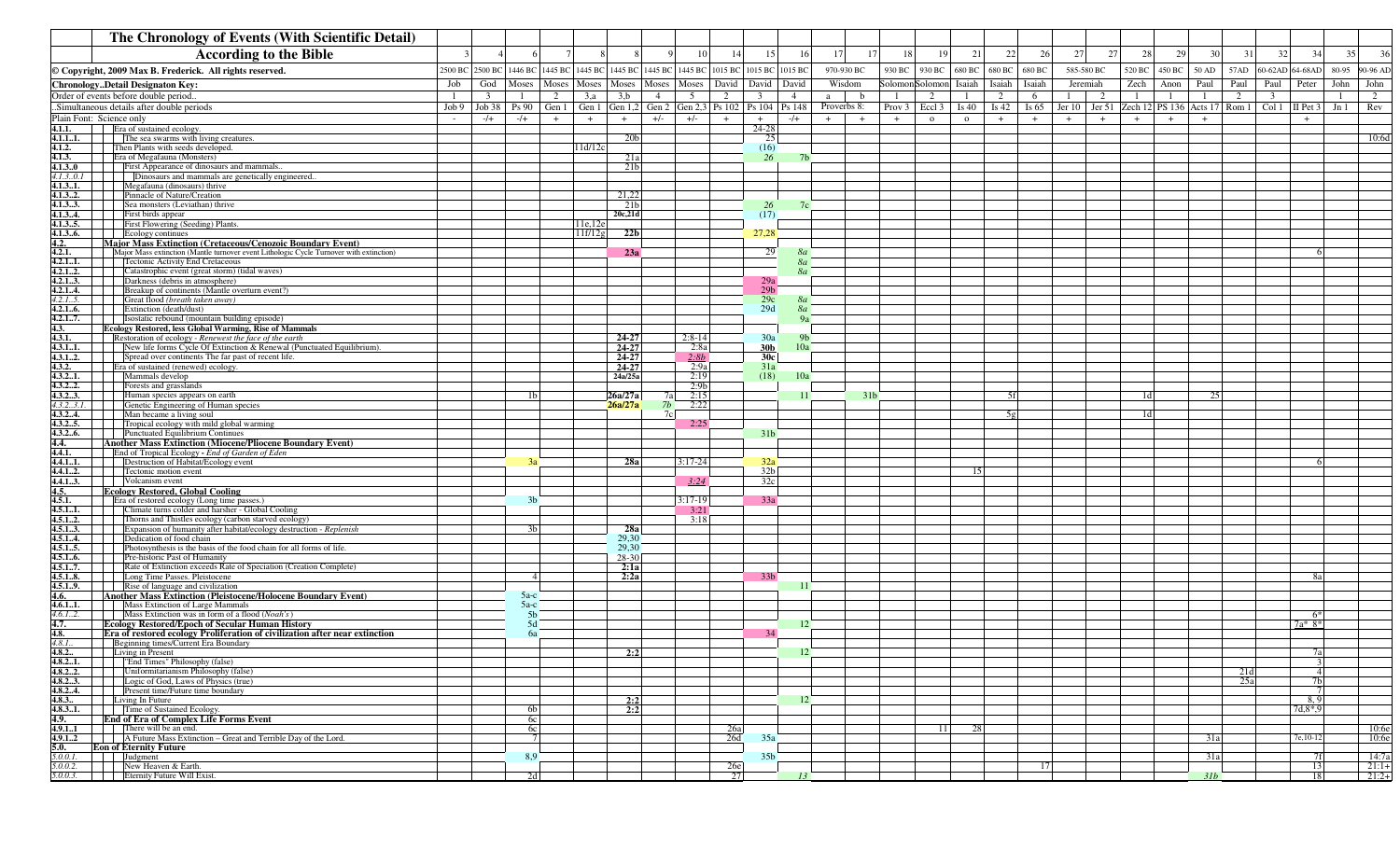|                             | The Chronology of Events (With Scientific Detail)                                                                                                            |                                |                         |         |                            |           |              |                                                  |                |             |        |                             |              |         |                                                                                 |            |          |        |       |            |                         |                                  |       |          |
|-----------------------------|--------------------------------------------------------------------------------------------------------------------------------------------------------------|--------------------------------|-------------------------|---------|----------------------------|-----------|--------------|--------------------------------------------------|----------------|-------------|--------|-----------------------------|--------------|---------|---------------------------------------------------------------------------------|------------|----------|--------|-------|------------|-------------------------|----------------------------------|-------|----------|
|                             | <b>According to the Bible</b>                                                                                                                                |                                |                         |         |                            |           | 10           | 14<br>15                                         | <sup>16</sup>  | 17<br>17    | 18     | 19                          | 21           | 22      | 27<br>26                                                                        |            | 27<br>28 | 29     | 30    | 31         | 32                      | 34                               | 35    | 36       |
|                             | © Copyright, 2009 Max B. Frederick. All rights reserved.                                                                                                     | 2500 BC 2500 BC                | 1446 BC 1445 BC 1445 BC |         | 1445 BC                    |           |              | 1445 BC 1445 BC 1015 BC 1015 BC 1015 BC          |                | 970-930 BC  | 930 BC | 930 BC                      | 680 BC       | 680 BC  | 680 BC                                                                          | 585-580 BC | 520 BC   | 450 BC | 50 AD | 57AD       |                         | 60-62AD 64-68AD                  | 80-95 | 90-96 AD |
|                             | <b>ChronologyDetail Designaton Key:</b>                                                                                                                      | Job<br>God                     | Moses<br>Moses          | Moses   | Moses                      | Moses     | Moses        | David<br>David                                   | David          | Wisdom      |        | Solomon Solomon             | Isaiah       | Ísaiah  | Isaiah                                                                          | Jeremiah   | Zech     | Anon   | Paul  | Paul       | Paul                    | Peter                            | John  | John     |
|                             | Order of events before double period.                                                                                                                        | $\overline{\mathbf{3}}$<br>- 1 | 2<br>-1                 | 3,a     | 3,b                        | 4         | 5            | 2<br>$\overline{\mathbf{3}}$                     | $\overline{4}$ | b<br>a      | -1     | 2                           | -1           | 2       | 6<br>1                                                                          | 2          | - 1      | -1     | -1    | 2          | $\overline{\mathbf{3}}$ |                                  | -1    | 2        |
|                             | Simultaneous details after double periods                                                                                                                    | $Job 9$ Job 38                 | $Ps 90$ Gen 1           |         |                            |           |              | Gen 1 Gen 1,2 Gen 2 Gen 2,3 Ps 102 Ps 104 Ps 148 |                | Proverbs 8: |        | Prov $3 \mid$ Eccl $3 \mid$ | Is $40$      | Is $42$ | Is 65   Jer 10   Jer 51   Zech 12   PS 136   Acts 17   Rom 1   Col 1   II Pet 3 |            |          |        |       |            |                         |                                  | Jn1   | Rev      |
| 4.1.1.                      | Plain Font: Science only<br>Era of sustained ecology.                                                                                                        | $-/+$                          | $-/+$<br>$+$            | $+$     | $+$                        | $+/-$     | $+/-$        | $+$<br>$+$<br>$24 - 28$                          | $-$ /+         | $+$<br>$+$  | $+$    | $\Omega$                    | $\mathbf{o}$ | $+$     | $+$<br>$+$                                                                      | $+$        | $+$      |        | $+$   |            |                         | $+$                              |       |          |
| 4.1.11.                     | The sea swarms with living creatures.                                                                                                                        |                                |                         |         | 20 <sub>b</sub>            |           |              | 25                                               |                |             |        |                             |              |         |                                                                                 |            |          |        |       |            |                         |                                  |       | 10:6d    |
| 4.1.2.                      | Then Plants with seeds developed.                                                                                                                            |                                |                         | 11d/12c |                            |           |              | (16)                                             |                |             |        |                             |              |         |                                                                                 |            |          |        |       |            |                         |                                  |       |          |
| 4.1.3.<br>4.1.30            | Era of Megafauna (Monsters)<br>First Appearance of dinosaurs and mammals.                                                                                    |                                |                         |         | 21a                        |           |              | 26                                               |                |             |        |                             |              |         |                                                                                 |            |          |        |       |            |                         |                                  |       |          |
| 4.1.30.1                    | Dinosaurs and mammals are genetically engineered.                                                                                                            |                                |                         |         | 21 <sub>b</sub>            |           |              |                                                  |                |             |        |                             |              |         |                                                                                 |            |          |        |       |            |                         |                                  |       |          |
| 4.1.31.                     | Megafauna (dinosaurs) thrive                                                                                                                                 |                                |                         |         |                            |           |              |                                                  |                |             |        |                             |              |         |                                                                                 |            |          |        |       |            |                         |                                  |       |          |
| 4.1.32.<br>4.1.33.          | Pinnacle of Nature/Creation<br>Sea monsters (Leviathan) thrive                                                                                               |                                |                         |         | 21,22                      |           |              |                                                  |                |             |        |                             |              |         |                                                                                 |            |          |        |       |            |                         |                                  |       |          |
| 4.1.34.                     | First birds appear                                                                                                                                           |                                |                         |         | 21 <sub>b</sub><br>20c,21d |           |              | 26<br>(17)                                       |                |             |        |                             |              |         |                                                                                 |            |          |        |       |            |                         |                                  |       |          |
| 4.1.35.                     | First Flowering (Seeding) Plants.                                                                                                                            |                                |                         | 11e,12e |                            |           |              |                                                  |                |             |        |                             |              |         |                                                                                 |            |          |        |       |            |                         |                                  |       |          |
| 4.1.36.                     | Ecology continues                                                                                                                                            |                                |                         | 11f/12g | 22 <sub>b</sub>            |           |              | 27,28                                            |                |             |        |                             |              |         |                                                                                 |            |          |        |       |            |                         |                                  |       |          |
| 4.2.<br>4.2.1.              | <b>Major Mass Extinction (Cretaceous/Cenozoic Boundary Event)</b><br>Major Mass extinction (Mantle turnover event Lithologic Cycle Turnover with extinction) |                                |                         |         | 23a                        |           |              | 29                                               | 8a             |             |        |                             |              |         |                                                                                 |            |          |        |       |            |                         |                                  |       |          |
| 4.2.11.                     | <b>Tectonic Activity End Cretaceous</b>                                                                                                                      |                                |                         |         |                            |           |              |                                                  | <b>8a</b>      |             |        |                             |              |         |                                                                                 |            |          |        |       |            |                         |                                  |       |          |
| 4.2.12.                     | Catastrophic event (great storm) (tidal waves)                                                                                                               |                                |                         |         |                            |           |              |                                                  | 80             |             |        |                             |              |         |                                                                                 |            |          |        |       |            |                         |                                  |       |          |
| 4.2.13.                     | Darkness (debris in atmosphere)<br>Breakup of continents (Mantle overturn event?)                                                                            |                                |                         |         |                            |           |              | $29a$<br>$29b$                                   |                |             |        |                             |              |         |                                                                                 |            |          |        |       |            |                         |                                  |       |          |
| $\frac{4.2.14.}{4.2.15.}$   | Great flood (breath taken away)                                                                                                                              |                                |                         |         |                            |           |              | 29c                                              | 8a             |             |        |                             |              |         |                                                                                 |            |          |        |       |            |                         |                                  |       |          |
| 4.2.16.                     | Extinction (death/dust)                                                                                                                                      |                                |                         |         |                            |           |              | 29d                                              | 8a             |             |        |                             |              |         |                                                                                 |            |          |        |       |            |                         |                                  |       |          |
| 4.2.17.<br>4.3.             | Isostatic rebound (mountain building episode)<br>Ecology Restored, less Global Warming, Rise of Mammals                                                      |                                |                         |         |                            |           |              |                                                  | 9a             |             |        |                             |              |         |                                                                                 |            |          |        |       |            |                         |                                  |       |          |
| 4.3.1.                      | Restoration of ecology - Renewest the face of the earth                                                                                                      |                                |                         |         | 24-27                      |           | $2:8-14$     | 30a                                              | 9h             |             |        |                             |              |         |                                                                                 |            |          |        |       |            |                         |                                  |       |          |
| 4.3.11.                     | New life forms Cycle Of Extinction & Renewal (Punctuated Equilibrium).                                                                                       |                                |                         |         | 24-27                      |           | 2:8a         | 30 <sub>b</sub>                                  | 10a            |             |        |                             |              |         |                                                                                 |            |          |        |       |            |                         |                                  |       |          |
| 4.3.12.<br>4.3.2.           | Spread over continents The far past of recent life.<br>Era of sustained (renewed) ecology.                                                                   |                                |                         |         | 24-27<br>24-27             |           | 2:8b<br>2:9a | 30c<br>31a                                       |                |             |        |                             |              |         |                                                                                 |            |          |        |       |            |                         |                                  |       |          |
| 4.3.21.                     | Mammals develop                                                                                                                                              |                                |                         |         | 24a/25a                    |           | 2:19         | (18)                                             | 10a            |             |        |                             |              |         |                                                                                 |            |          |        |       |            |                         |                                  |       |          |
| 4.3.22.                     | Forests and grasslands                                                                                                                                       |                                |                         |         |                            |           | 2:9b         |                                                  |                |             |        |                             |              |         |                                                                                 |            |          |        |       |            |                         |                                  |       |          |
| 4.3.23.<br>4.3.23.1.        | Human species appears on earth<br>Genetic Engineering of Human species                                                                                       |                                | 1 <sub>b</sub>          |         | 26a/27a<br>26a/27a         | 7al<br>7b | 2:15<br>2:22 |                                                  |                | -31         |        |                             |              | 5f      |                                                                                 |            |          | 1d     | 25    |            |                         |                                  |       |          |
| 4.3.24.                     | Man became a living soul                                                                                                                                     |                                |                         |         |                            | 7c        |              |                                                  |                |             |        |                             |              | 5α      |                                                                                 |            |          |        |       |            |                         |                                  |       |          |
| 4.3.25.                     | Tropical ecology with mild global warming                                                                                                                    |                                |                         |         |                            |           | 2:25         |                                                  |                |             |        |                             |              |         |                                                                                 |            |          |        |       |            |                         |                                  |       |          |
| 4.3.26.<br>4.4.             | Punctuated Equilibrium Continues<br><b>Another Mass Extinction (Miocene/Pliocene Boundary Event)</b>                                                         |                                |                         |         |                            |           |              | 31 <sub>b</sub>                                  |                |             |        |                             |              |         |                                                                                 |            |          |        |       |            |                         |                                  |       |          |
| 4.4.1.                      | End of Tropical Ecology - End of Garden of Eden                                                                                                              |                                |                         |         |                            |           |              |                                                  |                |             |        |                             |              |         |                                                                                 |            |          |        |       |            |                         |                                  |       |          |
| 4.4.11.                     | <b>Destruction of Habitat/Ecology event</b>                                                                                                                  |                                | 3a                      |         | 28a                        |           | $3:17 - 24$  | 32a                                              |                |             |        |                             |              |         |                                                                                 |            |          |        |       |            |                         | 6                                |       |          |
| 4.4.12.<br>4.4.13.          | Tectonic motion event<br>Volcanism event                                                                                                                     |                                |                         |         |                            |           |              | 32 <sub>b</sub><br>32c                           |                |             |        |                             |              |         |                                                                                 |            |          |        |       |            |                         |                                  |       |          |
|                             | <b>Ecology Restored, Global Cooling</b>                                                                                                                      |                                |                         |         |                            |           | 3:24         |                                                  |                |             |        |                             |              |         |                                                                                 |            |          |        |       |            |                         |                                  |       |          |
| $\frac{4.5.}{4.5.1.}$       | Era of restored ecology (Long time passes.)                                                                                                                  |                                | 3 <sub>b</sub>          |         |                            |           | $3:17-19$    | 33a                                              |                |             |        |                             |              |         |                                                                                 |            |          |        |       |            |                         |                                  |       |          |
| 4.5.11.                     | Climate turns colder and harsher - Global Cooling                                                                                                            |                                |                         |         |                            |           | 3:21<br>3:18 |                                                  |                |             |        |                             |              |         |                                                                                 |            |          |        |       |            |                         |                                  |       |          |
| 4.5.12.<br>4.5.13.          | Thorns and Thistles ecology (carbon starved ecology)<br>Expansion of humanity after habitat/ecology destruction - Replenish                                  |                                | 3h.                     |         | <b>28a</b>                 |           |              |                                                  |                |             |        |                             |              |         |                                                                                 |            |          |        |       |            |                         |                                  |       |          |
| 4.5.14.                     | Dedication of food chain                                                                                                                                     |                                |                         |         | 29,30                      |           |              |                                                  |                |             |        |                             |              |         |                                                                                 |            |          |        |       |            |                         |                                  |       |          |
| 4.5.15.<br>4.5.16.          | Photosynthesis is the basis of the food chain for all forms of life.<br>Pre-historic Past of Humanity                                                        |                                |                         |         | 29,30<br>28-30             |           |              |                                                  |                |             |        |                             |              |         |                                                                                 |            |          |        |       |            |                         |                                  |       |          |
| 4.5.17.                     | Rate of Extinction exceeds Rate of Speciation (Creation Complete)                                                                                            |                                |                         |         | 2:1a                       |           |              |                                                  |                |             |        |                             |              |         |                                                                                 |            |          |        |       |            |                         |                                  |       |          |
| 4.5.18.                     | Long Time Passes. Pleistocene                                                                                                                                |                                | Δ                       |         | 2:2a                       |           |              | 33 <sub>b</sub>                                  |                |             |        |                             |              |         |                                                                                 |            |          |        |       |            |                         | 8a                               |       |          |
| 4.5.19.<br>4.6.             | Rise of language and civilization<br><b>Another Mass Extinction (Pleistocene/Holocene Boundary Event)</b>                                                    |                                | $5a-c$                  |         |                            |           |              |                                                  |                |             |        |                             |              |         |                                                                                 |            |          |        |       |            |                         |                                  |       |          |
| 4.6.11.                     | Mass Extinction of Large Mammals                                                                                                                             |                                | $5a-c$                  |         |                            |           |              |                                                  |                |             |        |                             |              |         |                                                                                 |            |          |        |       |            |                         |                                  |       |          |
| 4.6.12.                     | $\parallel$ Mass Extinction was in form of a flood ( <i>Noah's</i> )                                                                                         |                                | 5 <sub>b</sub>          |         |                            |           |              |                                                  |                |             |        |                             |              |         |                                                                                 |            |          |        |       |            |                         | 6*                               |       |          |
| $\frac{4.7}{4.8}$<br>4.8.1. | <b>Ecology Restored/Epoch of Secular Human History</b><br>Era of restored ecology Proliferation of civilization after near extinction                        |                                | 5d<br>6a                |         |                            |           |              |                                                  |                |             |        |                             |              |         |                                                                                 |            |          |        |       |            |                         | $7a*8*$                          |       |          |
|                             | Beginning times/Current Era Boundary                                                                                                                         |                                |                         |         |                            |           |              |                                                  |                |             |        |                             |              |         |                                                                                 |            |          |        |       |            |                         |                                  |       |          |
| 4.8.2.                      | Living in Present                                                                                                                                            |                                |                         |         | 2:2                        |           |              |                                                  |                |             |        |                             |              |         |                                                                                 |            |          |        |       |            |                         |                                  |       |          |
|                             | <b>4.8.21.</b> $\parallel \parallel \parallel$ "End Times" Philosophy (false)                                                                                |                                |                         |         |                            |           |              |                                                  |                |             |        |                             |              |         |                                                                                 |            |          |        |       |            |                         |                                  |       |          |
|                             | <b>4.8.22.</b>   Uniformitarianism Philosophy (false)<br><b>4.8.2.3.</b> Logic of God, Laws of Physics (true)                                                |                                |                         |         |                            |           |              |                                                  |                |             |        |                             |              |         |                                                                                 |            |          |        |       | 21d<br>25a |                         | $\overline{4}$<br>7 <sub>b</sub> |       |          |
|                             | 4.8.24. Present time/Future time boundary                                                                                                                    |                                |                         |         |                            |           |              |                                                  |                |             |        |                             |              |         |                                                                                 |            |          |        |       |            |                         |                                  |       |          |
|                             | 4.8.3. Living In Future                                                                                                                                      |                                |                         |         | 2:2                        |           |              |                                                  | 12             |             |        |                             |              |         |                                                                                 |            |          |        |       |            |                         | 8,9                              |       |          |
| 4.9.                        | <b>4.8.3.1.</b> Time of Sustained Ecology.<br><b>End of Era of Complex Life Forms Event</b>                                                                  |                                | 6b<br>6c                |         | 2:2                        |           |              |                                                  |                |             |        |                             |              |         |                                                                                 |            |          |        |       |            |                         | 7d,8,89                          |       |          |
|                             | $4.9.11$ There will be an end.                                                                                                                               |                                | <b>6c</b>               |         |                            |           |              | 26a                                              |                |             |        | <b>111</b>                  | -28          |         |                                                                                 |            |          |        |       |            |                         |                                  |       | 10:6e    |
|                             | 4.9.12             A Future Mass Extinction – Great and Terrible Day of the Lord.                                                                            |                                | 7                       |         |                            |           |              | 35a<br>26d                                       |                |             |        |                             |              |         |                                                                                 |            |          |        | 31a   |            |                         | 7e, 10-12                        |       | 10:6e    |
| 5.0.                        | <b>Eon of Eternity Future</b><br>5.0.0.1. Judgment                                                                                                           |                                | 8,9                     |         |                            |           |              | 35 <sub>b</sub>                                  |                |             |        |                             |              |         |                                                                                 |            |          |        | 31a   |            |                         | 7f                               |       | 14:7a    |
|                             | 5.0.0.2. New Heaven & Earth.                                                                                                                                 |                                |                         |         |                            |           |              | 26e                                              |                |             |        |                             |              |         | 17                                                                              |            |          |        |       |            |                         | <sup>13</sup>                    |       | $21:1+$  |
|                             | 5.0.0.3.       Eternity Future Will Exist.                                                                                                                   |                                | 2d                      |         |                            |           |              | 27                                               | 13             |             |        |                             |              |         |                                                                                 |            |          |        | 31b   |            |                         | 18                               |       | $21:2+$  |